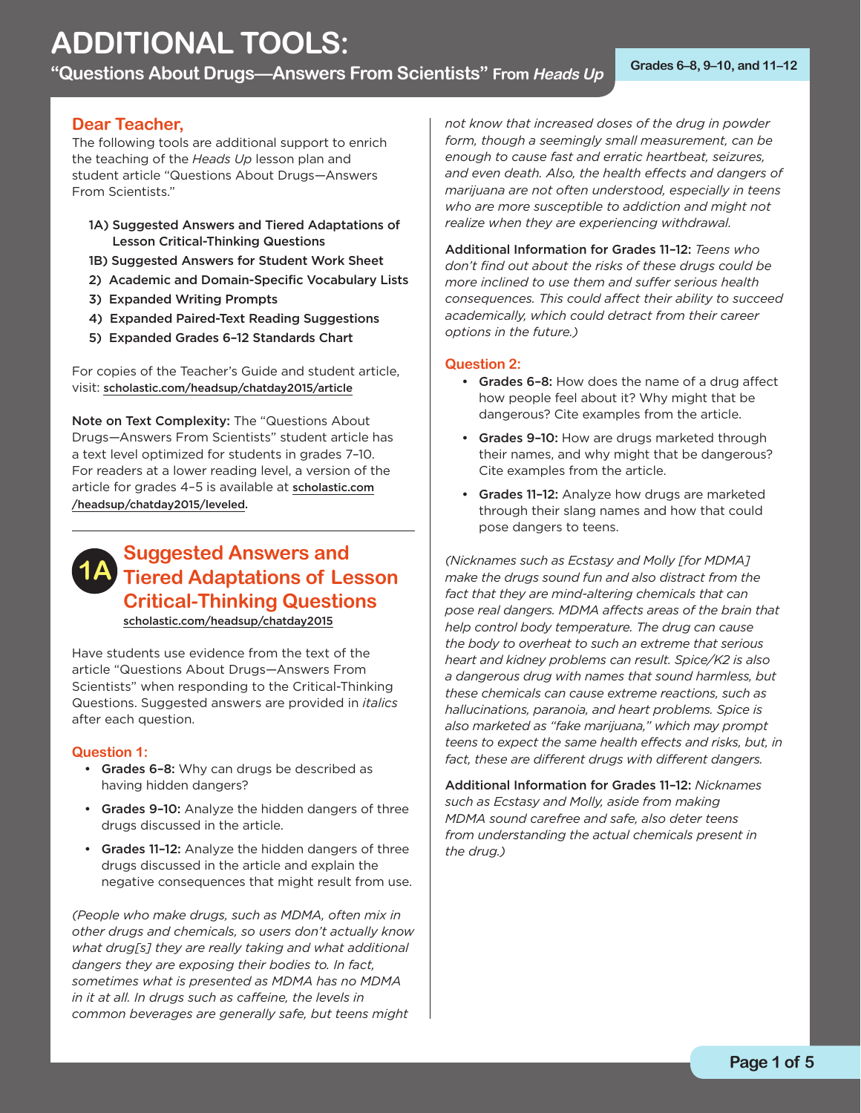**"Questions About Drugs—Answers From Scientists" From Heads Up Grades 6–8, 9–10, and 11–12** 

## **Dear Teacher,**

The following tools are additional support to enrich the teaching of the *Heads Up* lesson plan and student article "Questions About Drugs—Answers From Scientists."

- 1A) Suggested Answers and Tiered Adaptations of Lesson Critical-Thinking Questions
- 1B) Suggested Answers for Student Work Sheet
- 2) Academic and Domain-Specific Vocabulary Lists
- 3) Expanded Writing Prompts
- 4) Expanded Paired-Text Reading Suggestions
- 5) Expanded Grades 6-12 Standards Chart

For copies of the Teacher's Guide and student article, visit: [scholastic.com/headsup/chatday2015/article](http://scholastic.com/headsup/chatday2015/article)

Note on Text Complexity: The "Questions About Drugs—Answers From Scientists" student article has a text level optimized for students in grades 7–10. For readers at a lower reading level, a version of the [article for grades 4–5 is available at](http://scholastic.com/headsup/chatday2015/leveled) scholastic.com /headsup/chatday2015/leveled.

## **1A Suggested Answers and Tiered Adaptations of Lesson Critical-Thinking Questions**  [scholastic.com/headsup/chatday2015](http://scholastic.com/headsup/chatday2015)

Have students use evidence from the text of the article "Questions About Drugs—Answers From Scientists" when responding to the Critical-Thinking Questions. Suggested answers are provided in *italics*  after each question.

## **Question 1:**

- Grades 6-8: Why can drugs be described as having hidden dangers?
- Grades 9-10: Analyze the hidden dangers of three drugs discussed in the article.
- Grades 11-12: Analyze the hidden dangers of three drugs discussed in the article and explain the negative consequences that might result from use.

*(People who make drugs, such as MDMA, often mix in other drugs and chemicals, so users don't actually know what drug[s] they are really taking and what additional dangers they are exposing their bodies to. In fact, sometimes what is presented as MDMA has no MDMA in it at all. In drugs such as caffeine, the levels in common beverages are generally safe, but teens might* 

*not know that increased doses of the drug in powder form, though a seemingly small measurement, can be enough to cause fast and erratic heartbeat, seizures, and even death. Also, the health effects and dangers of marijuana are not often understood, especially in teens who are more susceptible to addiction and might not realize when they are experiencing withdrawal.* 

Additional Information for Grades 11–12: *Teens who don't find out about the risks of these drugs could be more inclined to use them and suffer serious health consequences. This could affect their ability to succeed academically, which could detract from their career options in the future.)* 

## **Question 2:**

- Grades 6-8: How does the name of a drug affect how people feel about it? Why might that be dangerous? Cite examples from the article.
- Grades 9-10: How are drugs marketed through their names, and why might that be dangerous? Cite examples from the article.
- Grades 11-12: Analyze how drugs are marketed through their slang names and how that could pose dangers to teens.

*(Nicknames such as Ecstasy and Molly [for MDMA] make the drugs sound fun and also distract from the fact that they are mind-altering chemicals that can pose real dangers. MDMA affects areas of the brain that help control body temperature. The drug can cause the body to overheat to such an extreme that serious heart and kidney problems can result. Spice/K2 is also a dangerous drug with names that sound harmless, but these chemicals can cause extreme reactions, such as hallucinations, paranoia, and heart problems. Spice is also marketed as "fake marijuana," which may prompt teens to expect the same health effects and risks, but, in fact, these are different drugs with different dangers.* 

Additional Information for Grades 11–12: *Nicknames such as Ecstasy and Molly, aside from making MDMA sound carefree and safe, also deter teens from understanding the actual chemicals present in the drug.)*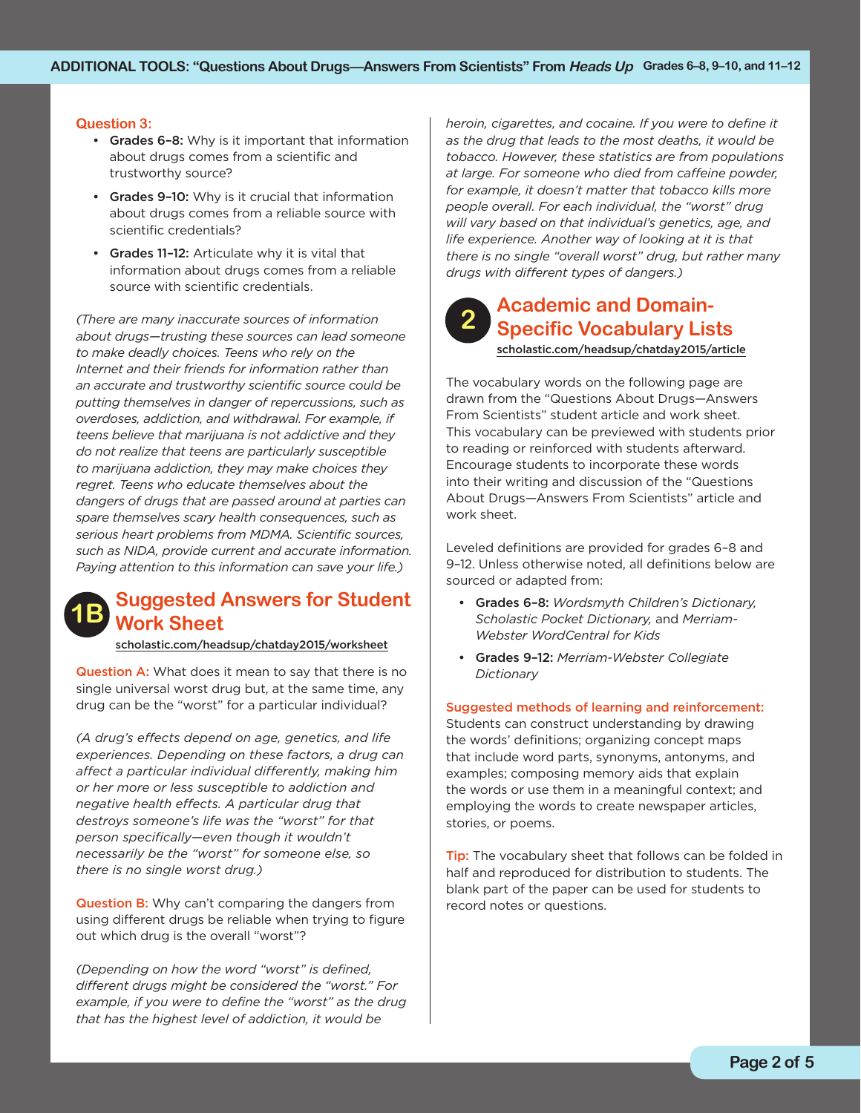## **Question 3:**

- Grades 6-8: Why is it important that information about drugs comes from a scientific and trustworthy source?
- Grades 9-10: Why is it crucial that information about drugs comes from a reliable source with scientific credentials?
- Grades 11-12: Articulate why it is vital that information about drugs comes from a reliable source with scientific credentials.

*(There are many inaccurate sources of information about drugs—trusting these sources can lead someone to make deadly choices. Teens who rely on the Internet and their friends for information rather than an accurate and trustworthy scientific source could be putting themselves in danger of repercussions, such as overdoses, addiction, and withdrawal. For example, if teens believe that marijuana is not addictive and they do not realize that teens are particularly susceptible to marijuana addiction, they may make choices they regret. Teens who educate themselves about the dangers of drugs that are passed around at parties can spare themselves scary health consequences, such as serious heart problems from MDMA. Scientific sources, such as NIDA, provide current and accurate information. Paying attention to this information can save your life.)* 

# **Suggested Answers for Student 1B Work Sheet**

## [scholastic.com/headsup/chatday2015/worksheet](http://scholastic.com/headsup/chatday2015/worksheet)

**Question A:** What does it mean to say that there is no single universal worst drug but, at the same time, any drug can be the "worst" for a particular individual?

*(A drug's effects depend on age, genetics, and life experiences. Depending on these factors, a drug can affect a particular individual differently, making him or her more or less susceptible to addiction and negative health effects. A particular drug that destroys someone's life was the "worst" for that person specifically—even though it wouldn't necessarily be the "worst" for someone else, so there is no single worst drug.)* 

 out which drug is the overall "worst"? Question B: Why can't comparing the dangers from using different drugs be reliable when trying to figure

*(Depending on how the word "worst" is defined, different drugs might be considered the "worst." For example, if you were to define the "worst" as the drug that has the highest level of addiction, it would be* 

*heroin, cigarettes, and cocaine. If you were to define it as the drug that leads to the most deaths, it would be tobacco. However, these statistics are from populations at large. For someone who died from caffeine powder, for example, it doesn't matter that tobacco kills more people overall. For each individual, the "worst" drug will vary based on that individual's genetics, age, and life experience. Another way of looking at it is that there is no single "overall worst" drug, but rather many drugs with different types of dangers.)* 

# **Academic and Domain- 2 Specific Vocabulary Lists**

[scholastic.com/headsup/chatday2015/article](http://scholastic.com/headsup/chatday2015/article)

The vocabulary words on the following page are drawn from the "Questions About Drugs—Answers From Scientists" student article and work sheet. This vocabulary can be previewed with students prior to reading or reinforced with students afterward. Encourage students to incorporate these words into their writing and discussion of the "Questions About Drugs—Answers From Scientists" article and work sheet.

Leveled definitions are provided for grades 6–8 and 9–12. Unless otherwise noted, all definitions below are sourced or adapted from:

- • Grades 6–8: *Wordsmyth Children's Dictionary, Scholastic Pocket Dictionary,* and *Merriam- Webster WordCentral for Kids*
- • Grades 9–12: *Merriam-Webster Collegiate Dictionary*

#### Suggested methods of learning and reinforcement:

Students can construct understanding by drawing the words' definitions; organizing concept maps that include word parts, synonyms, antonyms, and examples; composing memory aids that explain the words or use them in a meaningful context; and employing the words to create newspaper articles, stories, or poems.

**Tip:** The vocabulary sheet that follows can be folded in half and reproduced for distribution to students. The blank part of the paper can be used for students to record notes or questions.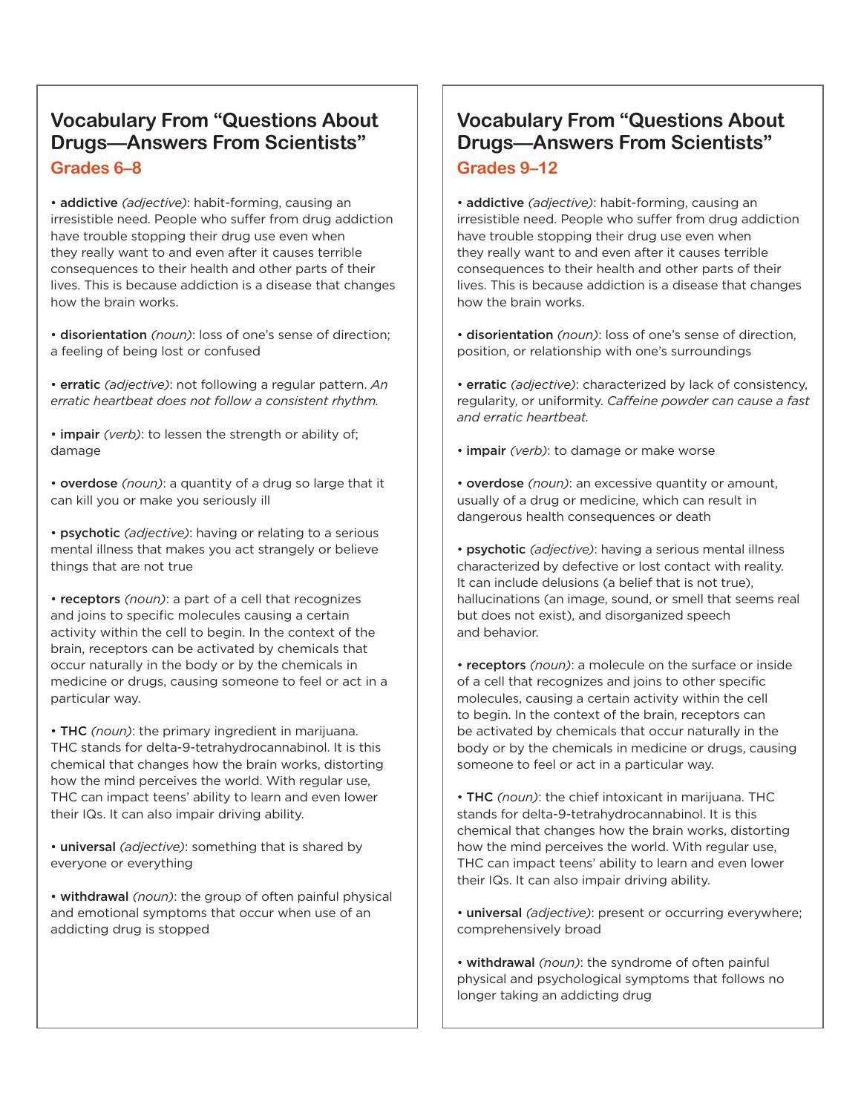## **Vocabulary From "Questions About Drugs—Answers From Scientists" Grades 6–8**

• addictive *(adjective)*: habit-forming, causing an irresistible need. People who suffer from drug addiction have trouble stopping their drug use even when they really want to and even after it causes terrible consequences to their health and other parts of their lives. This is because addiction is a disease that changes how the brain works.

• disorientation *(noun)*: loss of one's sense of direction; a feeling of being lost or confused

• erratic *(adjective)*: not following a regular pattern. *An erratic heartbeat does not follow a consistent rhythm.* 

• impair *(verb)*: to lessen the strength or ability of; damage

• overdose *(noun)*: a quantity of a drug so large that it can kill you or make you seriously ill

• psychotic *(adjective)*: having or relating to a serious mental illness that makes you act strangely or believe things that are not true

• receptors *(noun)*: a part of a cell that recognizes and joins to specific molecules causing a certain activity within the cell to begin. In the context of the brain, receptors can be activated by chemicals that occur naturally in the body or by the chemicals in medicine or drugs, causing someone to feel or act in a particular way.

• THC *(noun)*: the primary ingredient in marijuana. THC stands for delta-9-tetrahydrocannabinol. It is this chemical that changes how the brain works, distorting how the mind perceives the world. With regular use, THC can impact teens' ability to learn and even lower their IQs. It can also impair driving ability.

• universal *(adjective)*: something that is shared by everyone or everything

• withdrawal *(noun)*: the group of often painful physical and emotional symptoms that occur when use of an addicting drug is stopped

## **Vocabulary From "Questions About Drugs—Answers From Scientists" Grades 9–12**

• addictive *(adjective)*: habit-forming, causing an irresistible need. People who suffer from drug addiction have trouble stopping their drug use even when they really want to and even after it causes terrible consequences to their health and other parts of their lives. This is because addiction is a disease that changes how the brain works.

• disorientation *(noun)*: loss of one's sense of direction, position, or relationship with one's surroundings

• erratic *(adjective)*: characterized by lack of consistency, regularity, or uniformity. *Caffeine powder can cause a fast and erratic heartbeat.* 

• impair *(verb)*: to damage or make worse

• overdose *(noun)*: an excessive quantity or amount, usually of a drug or medicine, which can result in dangerous health consequences or death

 characterized by defective or lost contact with reality. It can include delusions (a belief that is not true), • psychotic *(adjective)*: having a serious mental illness hallucinations (an image, sound, or smell that seems real but does not exist), and disorganized speech and behavior.

• receptors *(noun)*: a molecule on the surface or inside of a cell that recognizes and joins to other specific molecules, causing a certain activity within the cell to begin. In the context of the brain, receptors can be activated by chemicals that occur naturally in the body or by the chemicals in medicine or drugs, causing someone to feel or act in a particular way.

• THC *(noun)*: the chief intoxicant in marijuana. THC stands for delta-9-tetrahydrocannabinol. It is this chemical that changes how the brain works, distorting how the mind perceives the world. With regular use, THC can impact teens' ability to learn and even lower their IQs. It can also impair driving ability.

• universal *(adjective)*: present or occurring everywhere; comprehensively broad

• withdrawal *(noun)*: the syndrome of often painful physical and psychological symptoms that follows no longer taking an addicting drug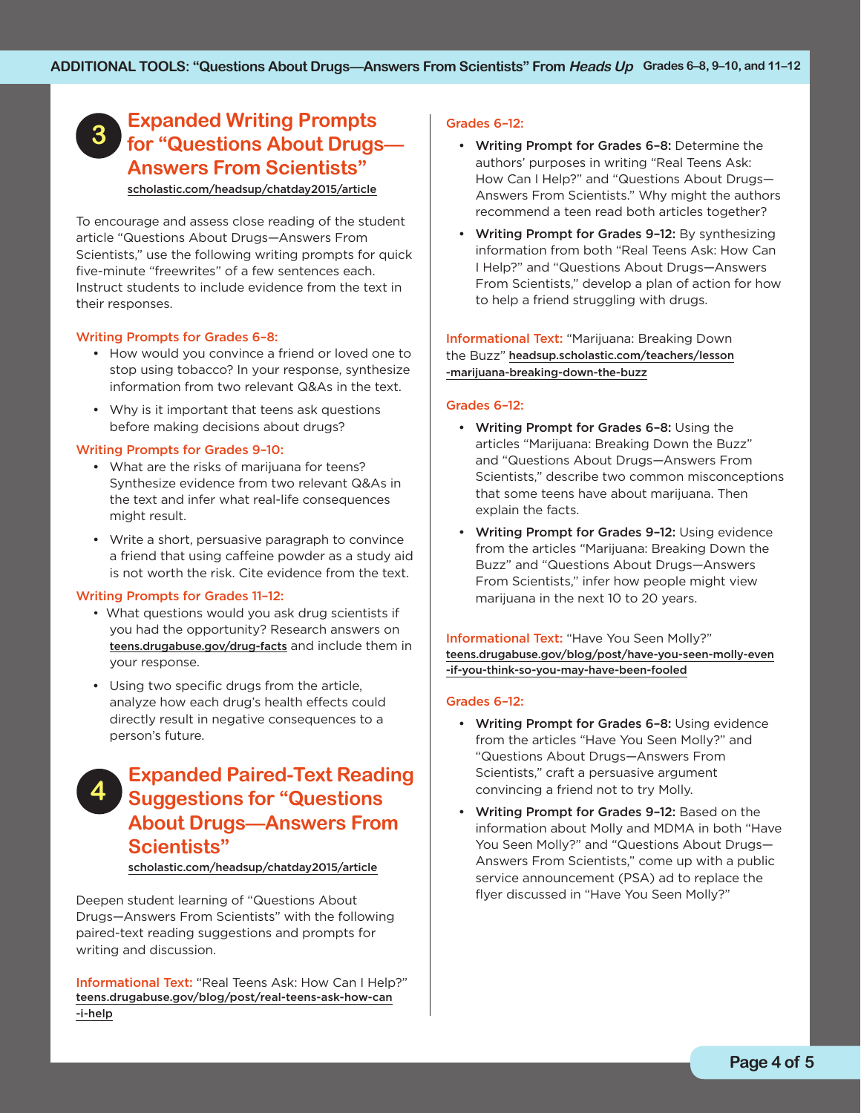## **Expanded Writing Prompts for "Questions About Drugs— 3 Answers From Scientists"**  [scholastic.com/headsup/chatday2015/article](http://scholastic.com/headsup/chatday2015/article)

To encourage and assess close reading of the student article "Questions About Drugs—Answers From Scientists," use the following writing prompts for quick

five-minute "freewrites" of a few sentences each. Instruct students to include evidence from the text in their responses.

## Writing Prompts for Grades 6–8:

- How would you convince a friend or loved one to stop using tobacco? In your response, synthesize information from two relevant Q&As in the text.
- • Why is it important that teens ask questions before making decisions about drugs?

## Writing Prompts for Grades 9–10:

- • What are the risks of marijuana for teens? Synthesize evidence from two relevant Q&As in the text and infer what real-life consequences might result.
- is not worth the risk. Cite evidence from the text. • Write a short, persuasive paragraph to convince a friend that using caffeine powder as a study aid

## Writing Prompts for Grades 11–12:

- What questions would you ask drug scientists if you had the opportunity? Research answers on [teens.drugabuse.gov/drug-facts](http://teens.drugabuse.gov/drug-facts) and include them in your response.
- • Using two specific drugs from the article, analyze how each drug's health effects could directly result in negative consequences to a person's future.

## **Expanded Paired-Text Reading Suggestions for "Questions About Drugs—Answers From Scientists" 4**

[scholastic.com/headsup/chatday2015/article](http://scholastic.com/headsup/chatday2015/article)

Deepen student learning of "Questions About Drugs—Answers From Scientists" with the following paired-text reading suggestions and prompts for writing and discussion.

Informational Text: "Real Teens Ask: How Can I Help?" [teens.drugabuse.gov/blog/post/real-teens-ask-how-can](http://teens.drugabuse.gov/blog/post/real-teens-ask-how-can-i-help) -i-help

## Grades 6–12:

- • Writing Prompt for Grades 6–8: Determine the authors' purposes in writing "Real Teens Ask: How Can I Help?" and "Questions About Drugs— Answers From Scientists." Why might the authors recommend a teen read both articles together?
- Writing Prompt for Grades 9-12: By synthesizing information from both "Real Teens Ask: How Can I Help?" and "Questions About Drugs—Answers From Scientists," develop a plan of action for how to help a friend struggling with drugs.

Informational Text: "Marijuana: Breaking Down the Buzz" [headsup.scholastic.com/teachers/lesson](http://headsup.scholastic.com/teachers/lesson-marijuana-breaking-down-the-buzz)  -marijuana-breaking-down-the-buzz

#### Grades 6–12:

- Writing Prompt for Grades 6-8: Using the articles "Marijuana: Breaking Down the Buzz" and "Questions About Drugs—Answers From Scientists," describe two common misconceptions that some teens have about marijuana. Then explain the facts.
- Writing Prompt for Grades 9-12: Using evidence from the articles "Marijuana: Breaking Down the Buzz" and "Questions About Drugs—Answers From Scientists," infer how people might view marijuana in the next 10 to 20 years.

Informational Text: "Have You Seen Molly?" [teens.drugabuse.gov/blog/post/have-you-seen-molly-even](http://teens.drugabuse.gov/blog/post/have-you-seen-molly-even-if-you-think-so-you-may-have-been-fooled) -if-you-think-so-you-may-have-been-fooled

#### Grades 6–12:

- Writing Prompt for Grades 6-8: Using evidence from the articles "Have You Seen Molly?" and "Questions About Drugs—Answers From Scientists," craft a persuasive argument convincing a friend not to try Molly.
- Writing Prompt for Grades 9-12: Based on the information about Molly and MDMA in both "Have You Seen Molly?" and "Questions About Drugs— Answers From Scientists," come up with a public service announcement (PSA) ad to replace the flyer discussed in "Have You Seen Molly?"